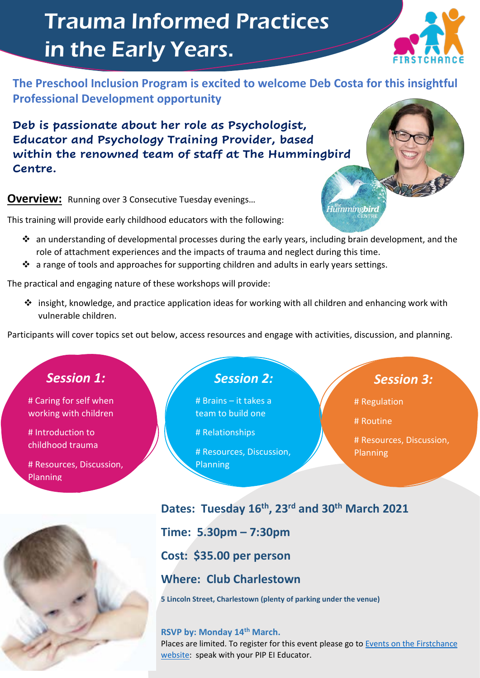# Trauma Informed Practices in the Early Years.

**The Preschool Inclusion Program is excited to welcome Deb Costa for this insightful Professional Development opportunity**

**Deb is passionate about her role as Psychologist, Educator and Psychology Training Provider, based within the renowned team of staff at The Hummingbird Centre.**

**Overview:** Running over 3 Consecutive Tuesday evenings...

This training will provide early childhood educators with the following:

- $\cdot \cdot$  an understanding of developmental processes during the early years, including brain development, and the role of attachment experiences and the impacts of trauma and neglect during this time.
- $\cdot$  a range of tools and approaches for supporting children and adults in early years settings.

The practical and engaging nature of these workshops will provide:

 $\cdot$  insight, knowledge, and practice application ideas for working with all children and enhancing work with vulnerable children.

Participants will cover topics set out below, access resources and engage with activities, discussion, and planning.

# *Session 1:*

# Caring for self when working with children

# Introduction to childhood trauma

# Resources, Discussion, Planning



### *Session 2:*

# Brains – it takes a team to build one

# Relationships

# Resources, Discussion, Planning

# *Session 3:*

# Regulation

# Routine

# Resources, Discussion, Planning

# **Dates: Tuesday 16th, 23rd and 30th March 2021**

**Time: 5.30pm – 7:30pm**

**Cost: \$35.00 per person**

### **Where: Club Charlestown**

**5 Lincoln Street, Charlestown (plenty of parking under the venue)**

#### **RSVP by: Monday 14th March.**

Places are limited. To register for this event please go to **Events on the Firstchance** [website:](https://www.firstchance.org.au/Event/pip-info-session-trauma-informed-practices-in-the-early-years) speak with your PIP EI Educator.